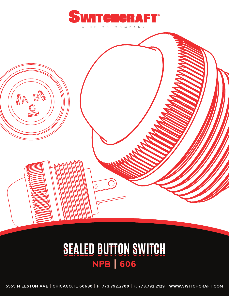



**5555 N ELSTON AVE | CHICAGO, IL 60630 | P: 773.792.2700 | F: 773.792.2129 | WWW.SWITCHCRAFT.COM**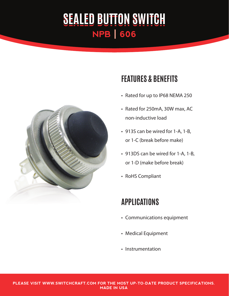

## **FEATURES & BENEFITS**

- Rated for up to IP68 NEMA 250
- Rated for 250mA, 30W max, AC non-inductive load
- 913S can be wired for 1-A, 1-B, or 1-C (break before make)
- 913DS can be wired for 1-A, 1-B, or 1-D (make before break)
- RoHS Compliant

## **APPLICATIONS**

- • Communications equipment
- • Medical Equipment
- Instrumentation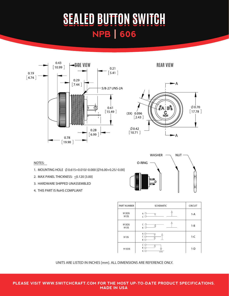



#### NOTES:

- 1. MOUNTING HOLE  $\emptyset$  0.615+0.010/-0.000 [ $\emptyset$ 16.00+0.25/-0.00]
- 2. MAX PANEL THICKNESS: < 0.120 [3.00]
- 3. HARDWARE SHIPPED UNASSEMBLED
- 4. THIS PART IS RoHS COMPLIANT



| PART NUMBER   | <b>SCHEMATIC</b>             | <b>CIRCUIT</b> |
|---------------|------------------------------|----------------|
| 913DS<br>913S | $\mathsf{A}$<br>$\mathsf{C}$ | $1-A$          |
| 913DS<br>913S | C<br>€<br>B                  | $1 - B$        |
| 913S          | A C<br>C C<br>B              | $1-C$          |
| 913DS         | C<br>B<br>Α                  | 1 <sub>D</sub> |

UNITS ARE LISTED IN INCHES [mm]. ALL DIMENSIONS ARE REFERENCE ONLY.